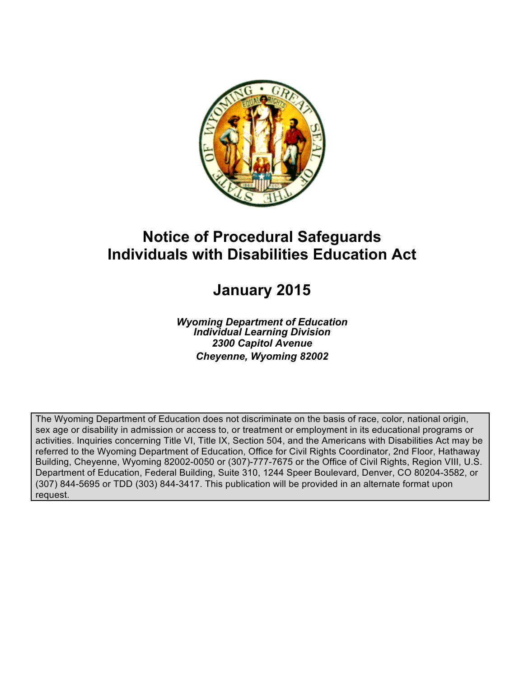

# **Notice of Procedural Safeguards Individuals with Disabilities Education Act**

# **January 2015**

*Wyoming Department of Education Individual Learning Division 2300 Capitol Avenue Cheyenne, Wyoming 82002*

The Wyoming Department of Education does not discriminate on the basis of race, color, national origin, sex age or disability in admission or access to, or treatment or employment in its educational programs or activities. Inquiries concerning Title VI, Title IX, Section 504, and the Americans with Disabilities Act may be referred to the Wyoming Department of Education, Office for Civil Rights Coordinator, 2nd Floor, Hathaway Building, Cheyenne, Wyoming 82002-0050 or (307)-777-7675 or the Office of Civil Rights, Region VIII, U.S. Department of Education, Federal Building, Suite 310, 1244 Speer Boulevard, Denver, CO 80204-3582, or (307) 844-5695 or TDD (303) 844-3417. This publication will be provided in an alternate format upon request.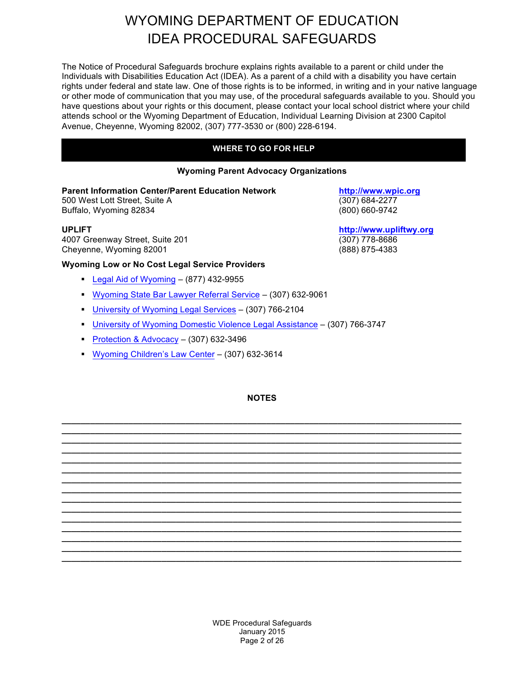The Notice of Procedural Safeguards brochure explains rights available to a parent or child under the Individuals with Disabilities Education Act (IDEA). As a parent of a child with a disability you have certain rights under federal and state law. One of those rights is to be informed, in writing and in your native language or other mode of communication that you may use, of the procedural safeguards available to you. Should you have questions about your rights or this document, please contact your local school district where your child attends school or the Wyoming Department of Education, Individual Learning Division at 2300 Capitol Avenue, Cheyenne, Wyoming 82002, (307) 777-3530 or (800) 228-6194.

#### **WHERE TO GO FOR HELP**

#### **Wyoming Parent Advocacy Organizations**

#### **Parent Information Center/Parent Education Network http://www.wpic.org**

500 West Lott Street, Suite A (307) 684-2277 Buffalo, Wyoming 82834 (800) 660-9742

4007 Greenway Street, Suite 201 (307) 778-8686<br>Cheyenne, Wyoming 82001 (888) 875-4383 Cheyenne, Wyoming 82001

#### **Wyoming Low or No Cost Legal Service Providers**

- Legal Aid of Wyoming (877) 432-9955
- § Wyoming State Bar Lawyer Referral Service (307) 632-9061
- § University of Wyoming Legal Services (307) 766-2104
- § University of Wyoming Domestic Violence Legal Assistance (307) 766-3747
- Protection & Advocacy (307) 632-3496
- § Wyoming Children's Law Center (307) 632-3614

#### **NOTES**

**\_\_\_\_\_\_\_\_\_\_\_\_\_\_\_\_\_\_\_\_\_\_\_\_\_\_\_\_\_\_\_\_\_\_\_\_\_\_\_\_\_\_\_\_\_\_\_\_\_\_\_\_\_\_\_\_\_\_\_\_\_\_\_\_\_\_\_\_\_\_\_\_\_\_\_\_\_\_\_\_\_\_\_\_ \_\_\_\_\_\_\_\_\_\_\_\_\_\_\_\_\_\_\_\_\_\_\_\_\_\_\_\_\_\_\_\_\_\_\_\_\_\_\_\_\_\_\_\_\_\_\_\_\_\_\_\_\_\_\_\_\_\_\_\_\_\_\_\_\_\_\_\_\_\_\_\_\_\_\_\_\_\_\_\_\_\_\_\_ \_\_\_\_\_\_\_\_\_\_\_\_\_\_\_\_\_\_\_\_\_\_\_\_\_\_\_\_\_\_\_\_\_\_\_\_\_\_\_\_\_\_\_\_\_\_\_\_\_\_\_\_\_\_\_\_\_\_\_\_\_\_\_\_\_\_\_\_\_\_\_\_\_\_\_\_\_\_\_\_\_\_\_\_ \_\_\_\_\_\_\_\_\_\_\_\_\_\_\_\_\_\_\_\_\_\_\_\_\_\_\_\_\_\_\_\_\_\_\_\_\_\_\_\_\_\_\_\_\_\_\_\_\_\_\_\_\_\_\_\_\_\_\_\_\_\_\_\_\_\_\_\_\_\_\_\_\_\_\_\_\_\_\_\_\_\_\_\_ \_\_\_\_\_\_\_\_\_\_\_\_\_\_\_\_\_\_\_\_\_\_\_\_\_\_\_\_\_\_\_\_\_\_\_\_\_\_\_\_\_\_\_\_\_\_\_\_\_\_\_\_\_\_\_\_\_\_\_\_\_\_\_\_\_\_\_\_\_\_\_\_\_\_\_\_\_\_\_\_\_\_\_\_ \_\_\_\_\_\_\_\_\_\_\_\_\_\_\_\_\_\_\_\_\_\_\_\_\_\_\_\_\_\_\_\_\_\_\_\_\_\_\_\_\_\_\_\_\_\_\_\_\_\_\_\_\_\_\_\_\_\_\_\_\_\_\_\_\_\_\_\_\_\_\_\_\_\_\_\_\_\_\_\_\_\_\_\_ \_\_\_\_\_\_\_\_\_\_\_\_\_\_\_\_\_\_\_\_\_\_\_\_\_\_\_\_\_\_\_\_\_\_\_\_\_\_\_\_\_\_\_\_\_\_\_\_\_\_\_\_\_\_\_\_\_\_\_\_\_\_\_\_\_\_\_\_\_\_\_\_\_\_\_\_\_\_\_\_\_\_\_\_ \_\_\_\_\_\_\_\_\_\_\_\_\_\_\_\_\_\_\_\_\_\_\_\_\_\_\_\_\_\_\_\_\_\_\_\_\_\_\_\_\_\_\_\_\_\_\_\_\_\_\_\_\_\_\_\_\_\_\_\_\_\_\_\_\_\_\_\_\_\_\_\_\_\_\_\_\_\_\_\_\_\_\_\_ \_\_\_\_\_\_\_\_\_\_\_\_\_\_\_\_\_\_\_\_\_\_\_\_\_\_\_\_\_\_\_\_\_\_\_\_\_\_\_\_\_\_\_\_\_\_\_\_\_\_\_\_\_\_\_\_\_\_\_\_\_\_\_\_\_\_\_\_\_\_\_\_\_\_\_\_\_\_\_\_\_\_\_\_ \_\_\_\_\_\_\_\_\_\_\_\_\_\_\_\_\_\_\_\_\_\_\_\_\_\_\_\_\_\_\_\_\_\_\_\_\_\_\_\_\_\_\_\_\_\_\_\_\_\_\_\_\_\_\_\_\_\_\_\_\_\_\_\_\_\_\_\_\_\_\_\_\_\_\_\_\_\_\_\_\_\_\_\_ \_\_\_\_\_\_\_\_\_\_\_\_\_\_\_\_\_\_\_\_\_\_\_\_\_\_\_\_\_\_\_\_\_\_\_\_\_\_\_\_\_\_\_\_\_\_\_\_\_\_\_\_\_\_\_\_\_\_\_\_\_\_\_\_\_\_\_\_\_\_\_\_\_\_\_\_\_\_\_\_\_\_\_\_**

**UPLIFT http://www.upliftwy.org**

WDE Procedural Safeguards January 2015 Page 2 of 26

**\_\_\_\_\_\_\_\_\_\_\_\_\_\_\_\_\_\_\_\_\_\_\_\_\_\_\_\_\_\_\_\_\_\_\_\_\_\_\_\_\_\_\_\_\_\_\_\_\_\_\_\_\_\_\_\_\_\_\_\_\_\_\_\_\_\_\_\_\_\_\_\_\_\_\_\_\_\_\_\_\_\_\_\_ \_\_\_\_\_\_\_\_\_\_\_\_\_\_\_\_\_\_\_\_\_\_\_\_\_\_\_\_\_\_\_\_\_\_\_\_\_\_\_\_\_\_\_\_\_\_\_\_\_\_\_\_\_\_\_\_\_\_\_\_\_\_\_\_\_\_\_\_\_\_\_\_\_\_\_\_\_\_\_\_\_\_\_\_ \_\_\_\_\_\_\_\_\_\_\_\_\_\_\_\_\_\_\_\_\_\_\_\_\_\_\_\_\_\_\_\_\_\_\_\_\_\_\_\_\_\_\_\_\_\_\_\_\_\_\_\_\_\_\_\_\_\_\_\_\_\_\_\_\_\_\_\_\_\_\_\_\_\_\_\_\_\_\_\_\_\_\_\_ \_\_\_\_\_\_\_\_\_\_\_\_\_\_\_\_\_\_\_\_\_\_\_\_\_\_\_\_\_\_\_\_\_\_\_\_\_\_\_\_\_\_\_\_\_\_\_\_\_\_\_\_\_\_\_\_\_\_\_\_\_\_\_\_\_\_\_\_\_\_\_\_\_\_\_\_\_\_\_\_\_\_\_\_**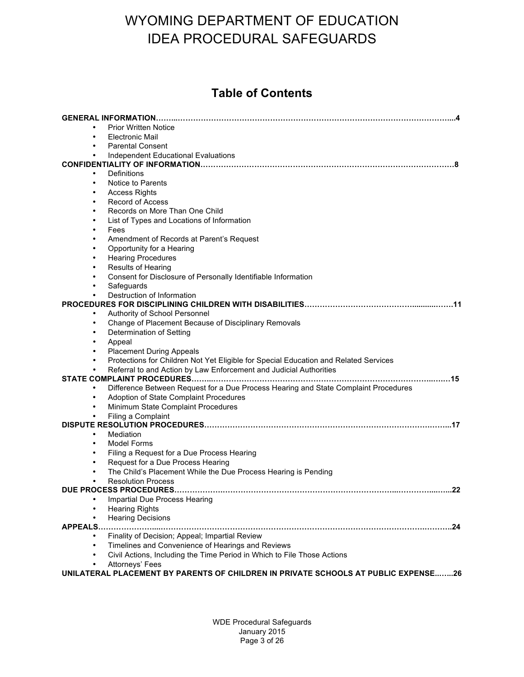### **Table of Contents**

| <b>Prior Written Notice</b>                                                                                                  |
|------------------------------------------------------------------------------------------------------------------------------|
| <b>Electronic Mail</b><br>$\bullet$                                                                                          |
| <b>Parental Consent</b>                                                                                                      |
| Independent Educational Evaluations<br>$\bullet$                                                                             |
|                                                                                                                              |
| Definitions<br>$\bullet$                                                                                                     |
| Notice to Parents<br>$\bullet$                                                                                               |
| <b>Access Rights</b><br>$\bullet$<br><b>Record of Access</b>                                                                 |
| $\bullet$<br>Records on More Than One Child<br>$\bullet$                                                                     |
| List of Types and Locations of Information<br>$\bullet$                                                                      |
| Fees<br>$\bullet$                                                                                                            |
| Amendment of Records at Parent's Request                                                                                     |
| Opportunity for a Hearing                                                                                                    |
| <b>Hearing Procedures</b><br>$\bullet$                                                                                       |
| Results of Hearing<br>$\bullet$                                                                                              |
| Consent for Disclosure of Personally Identifiable Information<br>$\bullet$                                                   |
| Safeguards<br>$\bullet$                                                                                                      |
| Destruction of Information                                                                                                   |
|                                                                                                                              |
| Authority of School Personnel<br>$\bullet$                                                                                   |
| Change of Placement Because of Disciplinary Removals<br>$\bullet$                                                            |
| Determination of Setting<br>$\bullet$                                                                                        |
| Appeal                                                                                                                       |
| <b>Placement During Appeals</b>                                                                                              |
| Protections for Children Not Yet Eligible for Special Education and Related Services<br>$\bullet$                            |
| Referral to and Action by Law Enforcement and Judicial Authorities                                                           |
| Difference Between Request for a Due Process Hearing and State Complaint Procedures<br>$\bullet$                             |
| Adoption of State Complaint Procedures                                                                                       |
| Minimum State Complaint Procedures<br>$\bullet$                                                                              |
| Filing a Complaint                                                                                                           |
|                                                                                                                              |
| Mediation<br>$\bullet$                                                                                                       |
| Model Forms<br>$\bullet$                                                                                                     |
| Filing a Request for a Due Process Hearing                                                                                   |
| Request for a Due Process Hearing<br>$\bullet$                                                                               |
| The Child's Placement While the Due Process Hearing is Pending<br>$\bullet$                                                  |
| <b>Resolution Process</b><br>$\bullet$                                                                                       |
| 22                                                                                                                           |
| Impartial Due Process Hearing                                                                                                |
| <b>Hearing Rights</b>                                                                                                        |
| <b>Hearing Decisions</b>                                                                                                     |
| APPEALS<br>. 24<br>Finality of Decision; Appeal; Impartial Review<br>$\bullet$                                               |
| $\bullet$                                                                                                                    |
| Timelines and Convenience of Hearings and Reviews<br>Civil Actions, Including the Time Period in Which to File Those Actions |
| Attorneys' Fees                                                                                                              |
| UNILATERAL PLACEMENT BY PARENTS OF CHILDREN IN PRIVATE SCHOOLS AT PUBLIC EXPENSE26                                           |
|                                                                                                                              |

WDE Procedural Safeguards January 2015 Page 3 of 26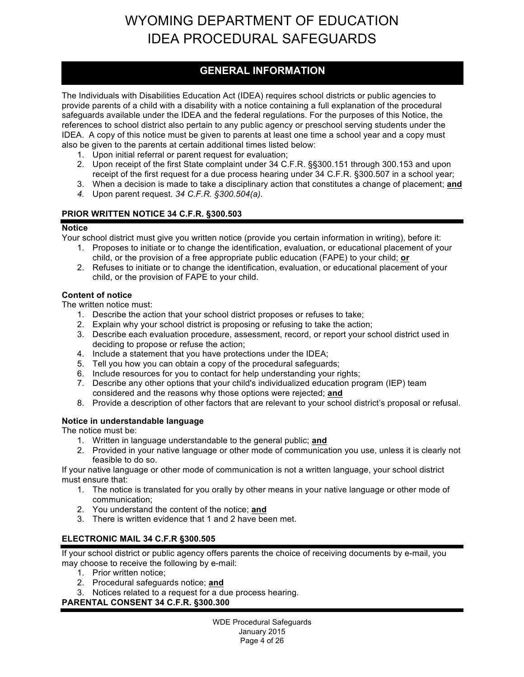### **GENERAL INFORMATION**

The Individuals with Disabilities Education Act (IDEA) requires school districts or public agencies to provide parents of a child with a disability with a notice containing a full explanation of the procedural safeguards available under the IDEA and the federal regulations. For the purposes of this Notice, the references to school district also pertain to any public agency or preschool serving students under the IDEA. A copy of this notice must be given to parents at least one time a school year and a copy must also be given to the parents at certain additional times listed below:

- 1. Upon initial referral or parent request for evaluation;
- 2. Upon receipt of the first State complaint under 34 C.F.R. §§300.151 through 300.153 and upon receipt of the first request for a due process hearing under 34 C.F.R. §300.507 in a school year;
- 3. When a decision is made to take a disciplinary action that constitutes a change of placement; **and**
- *4.* Upon parent request. *34 C.F.R. §300.504(a).*

#### **PRIOR WRITTEN NOTICE 34 C.F.R. §300.503**

#### **Notice**

Your school district must give you written notice (provide you certain information in writing), before it:

- 1. Proposes to initiate or to change the identification, evaluation, or educational placement of your child, or the provision of a free appropriate public education (FAPE) to your child; **or**
- 2. Refuses to initiate or to change the identification, evaluation, or educational placement of your child, or the provision of FAPE to your child.

#### **Content of notice**

The written notice must:

- 1. Describe the action that your school district proposes or refuses to take;
- 2. Explain why your school district is proposing or refusing to take the action;
- 3. Describe each evaluation procedure, assessment, record, or report your school district used in deciding to propose or refuse the action;
- 4. Include a statement that you have protections under the IDEA;
- 5. Tell you how you can obtain a copy of the procedural safeguards;
- 6. Include resources for you to contact for help understanding your rights;
- 7. Describe any other options that your child's individualized education program (IEP) team considered and the reasons why those options were rejected; **and**
- 8. Provide a description of other factors that are relevant to your school district's proposal or refusal.

#### **Notice in understandable language**

The notice must be:

- 1. Written in language understandable to the general public; **and**
- 2. Provided in your native language or other mode of communication you use, unless it is clearly not feasible to do so.

If your native language or other mode of communication is not a written language, your school district must ensure that:

- 1. The notice is translated for you orally by other means in your native language or other mode of communication;
- 2. You understand the content of the notice; **and**
- 3. There is written evidence that 1 and 2 have been met.

### **ELECTRONIC MAIL 34 C.F.R §300.505**

If your school district or public agency offers parents the choice of receiving documents by e-mail, you may choose to receive the following by e-mail:

- 1. Prior written notice;
- 2. Procedural safeguards notice; **and**
- 3. Notices related to a request for a due process hearing.

#### **PARENTAL CONSENT 34 C.F.R. §300.300**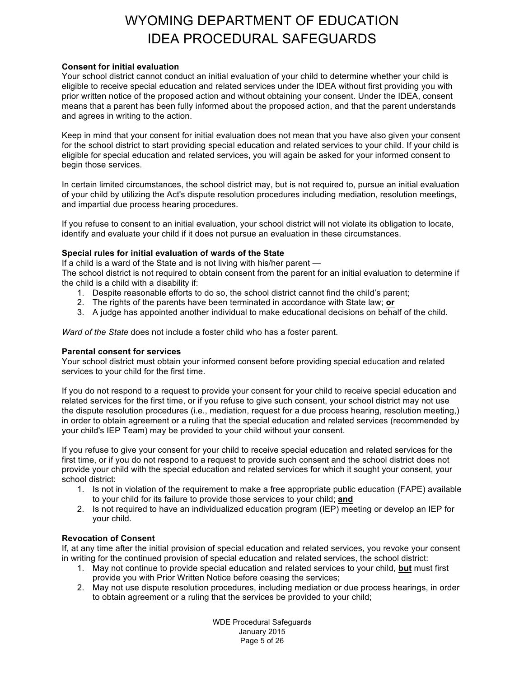#### **Consent for initial evaluation**

Your school district cannot conduct an initial evaluation of your child to determine whether your child is eligible to receive special education and related services under the IDEA without first providing you with prior written notice of the proposed action and without obtaining your consent. Under the IDEA, consent means that a parent has been fully informed about the proposed action, and that the parent understands and agrees in writing to the action.

Keep in mind that your consent for initial evaluation does not mean that you have also given your consent for the school district to start providing special education and related services to your child. If your child is eligible for special education and related services, you will again be asked for your informed consent to begin those services.

In certain limited circumstances, the school district may, but is not required to, pursue an initial evaluation of your child by utilizing the Act's dispute resolution procedures including mediation, resolution meetings, and impartial due process hearing procedures.

If you refuse to consent to an initial evaluation, your school district will not violate its obligation to locate, identify and evaluate your child if it does not pursue an evaluation in these circumstances.

#### **Special rules for initial evaluation of wards of the State**

If a child is a ward of the State and is not living with his/her parent —

The school district is not required to obtain consent from the parent for an initial evaluation to determine if the child is a child with a disability if:

- 1. Despite reasonable efforts to do so, the school district cannot find the child's parent;
- 2. The rights of the parents have been terminated in accordance with State law; **or**
- 3. A judge has appointed another individual to make educational decisions on behalf of the child.

*Ward of the State* does not include a foster child who has a foster parent.

#### **Parental consent for services**

Your school district must obtain your informed consent before providing special education and related services to your child for the first time.

If you do not respond to a request to provide your consent for your child to receive special education and related services for the first time, or if you refuse to give such consent, your school district may not use the dispute resolution procedures (i.e., mediation, request for a due process hearing, resolution meeting,) in order to obtain agreement or a ruling that the special education and related services (recommended by your child's IEP Team) may be provided to your child without your consent.

If you refuse to give your consent for your child to receive special education and related services for the first time, or if you do not respond to a request to provide such consent and the school district does not provide your child with the special education and related services for which it sought your consent, your school district:

- 1. Is not in violation of the requirement to make a free appropriate public education (FAPE) available to your child for its failure to provide those services to your child; **and**
- 2. Is not required to have an individualized education program (IEP) meeting or develop an IEP for your child.

#### **Revocation of Consent**

If, at any time after the initial provision of special education and related services, you revoke your consent in writing for the continued provision of special education and related services, the school district:

- 1. May not continue to provide special education and related services to your child, **but** must first provide you with Prior Written Notice before ceasing the services;
- 2. May not use dispute resolution procedures, including mediation or due process hearings, in order to obtain agreement or a ruling that the services be provided to your child;

WDE Procedural Safeguards January 2015 Page 5 of 26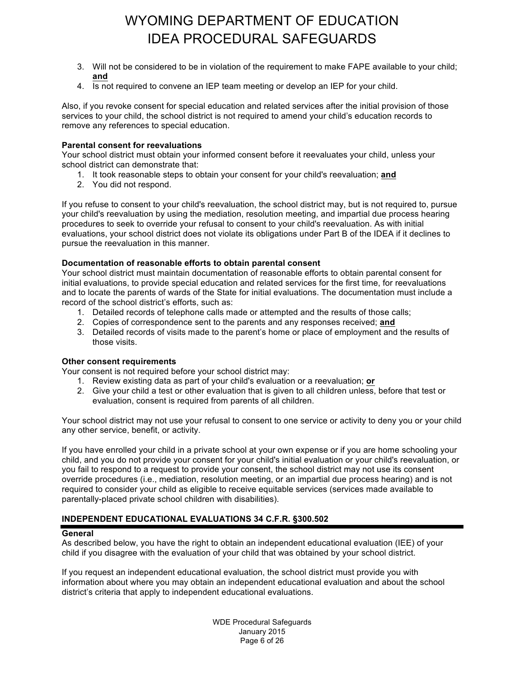- 3. Will not be considered to be in violation of the requirement to make FAPE available to your child; **and**
- 4. Is not required to convene an IEP team meeting or develop an IEP for your child.

Also, if you revoke consent for special education and related services after the initial provision of those services to your child, the school district is not required to amend your child's education records to remove any references to special education.

#### **Parental consent for reevaluations**

Your school district must obtain your informed consent before it reevaluates your child, unless your school district can demonstrate that:

- 1. It took reasonable steps to obtain your consent for your child's reevaluation; **and**
- 2. You did not respond.

If you refuse to consent to your child's reevaluation, the school district may, but is not required to, pursue your child's reevaluation by using the mediation, resolution meeting, and impartial due process hearing procedures to seek to override your refusal to consent to your child's reevaluation. As with initial evaluations, your school district does not violate its obligations under Part B of the IDEA if it declines to pursue the reevaluation in this manner.

#### **Documentation of reasonable efforts to obtain parental consent**

Your school district must maintain documentation of reasonable efforts to obtain parental consent for initial evaluations, to provide special education and related services for the first time, for reevaluations and to locate the parents of wards of the State for initial evaluations. The documentation must include a record of the school district's efforts, such as:

- 1. Detailed records of telephone calls made or attempted and the results of those calls;
- 2. Copies of correspondence sent to the parents and any responses received; **and**
- 3. Detailed records of visits made to the parent's home or place of employment and the results of those visits.

#### **Other consent requirements**

Your consent is not required before your school district may:

- 1. Review existing data as part of your child's evaluation or a reevaluation; **or**
- 2. Give your child a test or other evaluation that is given to all children unless, before that test or evaluation, consent is required from parents of all children.

Your school district may not use your refusal to consent to one service or activity to deny you or your child any other service, benefit, or activity.

If you have enrolled your child in a private school at your own expense or if you are home schooling your child, and you do not provide your consent for your child's initial evaluation or your child's reevaluation, or you fail to respond to a request to provide your consent, the school district may not use its consent override procedures (i.e., mediation, resolution meeting, or an impartial due process hearing) and is not required to consider your child as eligible to receive equitable services (services made available to parentally-placed private school children with disabilities).

#### **INDEPENDENT EDUCATIONAL EVALUATIONS 34 C.F.R. §300.502**

#### **General**

As described below, you have the right to obtain an independent educational evaluation (IEE) of your child if you disagree with the evaluation of your child that was obtained by your school district.

If you request an independent educational evaluation, the school district must provide you with information about where you may obtain an independent educational evaluation and about the school district's criteria that apply to independent educational evaluations.

> WDE Procedural Safeguards January 2015 Page 6 of 26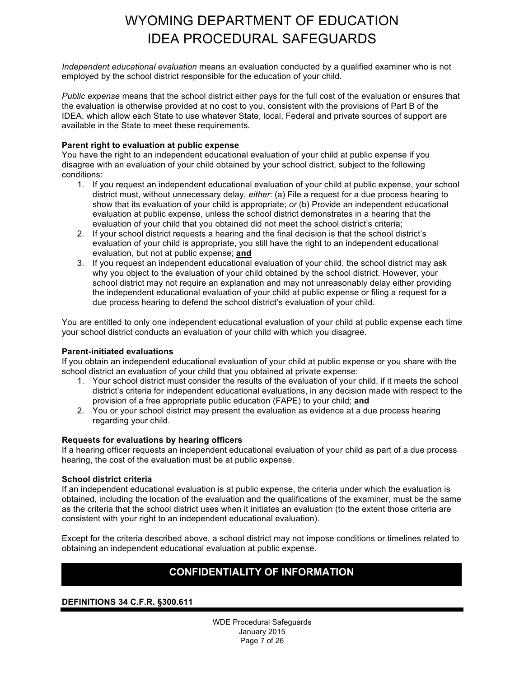*Independent educational evaluation* means an evaluation conducted by a qualified examiner who is not employed by the school district responsible for the education of your child.

*Public expense* means that the school district either pays for the full cost of the evaluation or ensures that the evaluation is otherwise provided at no cost to you, consistent with the provisions of Part B of the IDEA, which allow each State to use whatever State, local, Federal and private sources of support are available in the State to meet these requirements.

#### **Parent right to evaluation at public expense**

You have the right to an independent educational evaluation of your child at public expense if you disagree with an evaluation of your child obtained by your school district, subject to the following conditions:

- 1. If you request an independent educational evaluation of your child at public expense, your school district must, without unnecessary delay, *either*: (a) File a request for a due process hearing to show that its evaluation of your child is appropriate; *or* (b) Provide an independent educational evaluation at public expense, unless the school district demonstrates in a hearing that the evaluation of your child that you obtained did not meet the school district's criteria;
- 2. If your school district requests a hearing and the final decision is that the school district's evaluation of your child is appropriate, you still have the right to an independent educational evaluation, but not at public expense; **and**
- 3. If you request an independent educational evaluation of your child, the school district may ask why you object to the evaluation of your child obtained by the school district. However, your school district may not require an explanation and may not unreasonably delay either providing the independent educational evaluation of your child at public expense or filing a request for a due process hearing to defend the school district's evaluation of your child.

You are entitled to only one independent educational evaluation of your child at public expense each time your school district conducts an evaluation of your child with which you disagree.

#### **Parent-initiated evaluations**

If you obtain an independent educational evaluation of your child at public expense or you share with the school district an evaluation of your child that you obtained at private expense:

- 1. Your school district must consider the results of the evaluation of your child, if it meets the school district's criteria for independent educational evaluations, in any decision made with respect to the provision of a free appropriate public education (FAPE) to your child; **and**
- 2. You or your school district may present the evaluation as evidence at a due process hearing regarding your child.

#### **Requests for evaluations by hearing officers**

If a hearing officer requests an independent educational evaluation of your child as part of a due process hearing, the cost of the evaluation must be at public expense.

#### **School district criteria**

If an independent educational evaluation is at public expense, the criteria under which the evaluation is obtained, including the location of the evaluation and the qualifications of the examiner, must be the same as the criteria that the school district uses when it initiates an evaluation (to the extent those criteria are consistent with your right to an independent educational evaluation).

Except for the criteria described above, a school district may not impose conditions or timelines related to obtaining an independent educational evaluation at public expense.

### **CONFIDENTIALITY OF INFORMATION**

#### **DEFINITIONS 34 C.F.R. §300.611**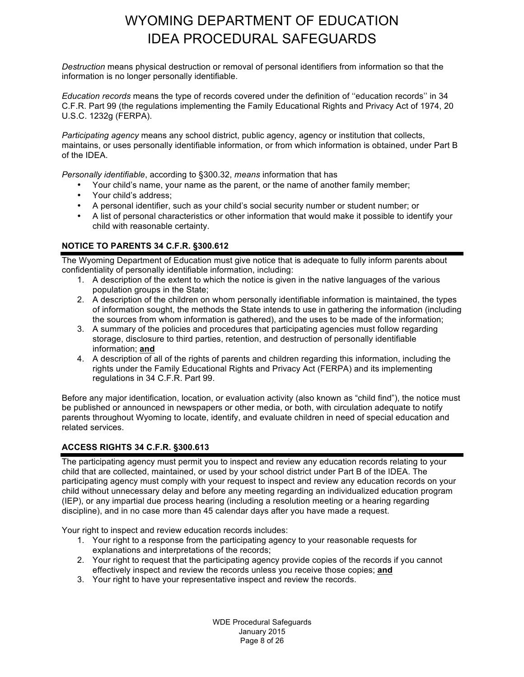*Destruction* means physical destruction or removal of personal identifiers from information so that the information is no longer personally identifiable.

*Education records* means the type of records covered under the definition of ''education records'' in 34 C.F.R. Part 99 (the regulations implementing the Family Educational Rights and Privacy Act of 1974, 20 U.S.C. 1232g (FERPA).

*Participating agency* means any school district, public agency, agency or institution that collects, maintains, or uses personally identifiable information, or from which information is obtained, under Part B of the IDEA.

*Personally identifiable*, according to §300.32, *means* information that has

- Your child's name, your name as the parent, or the name of another family member;
- Your child's address;
- A personal identifier, such as your child's social security number or student number; or
- A list of personal characteristics or other information that would make it possible to identify your child with reasonable certainty.

#### **NOTICE TO PARENTS 34 C.F.R. §300.612**

The Wyoming Department of Education must give notice that is adequate to fully inform parents about confidentiality of personally identifiable information, including:

- 1. A description of the extent to which the notice is given in the native languages of the various population groups in the State;
- 2. A description of the children on whom personally identifiable information is maintained, the types of information sought, the methods the State intends to use in gathering the information (including the sources from whom information is gathered), and the uses to be made of the information;
- 3. A summary of the policies and procedures that participating agencies must follow regarding storage, disclosure to third parties, retention, and destruction of personally identifiable information; **and**
- 4. A description of all of the rights of parents and children regarding this information, including the rights under the Family Educational Rights and Privacy Act (FERPA) and its implementing regulations in 34 C.F.R. Part 99.

Before any major identification, location, or evaluation activity (also known as "child find"), the notice must be published or announced in newspapers or other media, or both, with circulation adequate to notify parents throughout Wyoming to locate, identify, and evaluate children in need of special education and related services.

#### **ACCESS RIGHTS 34 C.F.R. §300.613**

The participating agency must permit you to inspect and review any education records relating to your child that are collected, maintained, or used by your school district under Part B of the IDEA. The participating agency must comply with your request to inspect and review any education records on your child without unnecessary delay and before any meeting regarding an individualized education program (IEP), or any impartial due process hearing (including a resolution meeting or a hearing regarding discipline), and in no case more than 45 calendar days after you have made a request.

Your right to inspect and review education records includes:

- 1. Your right to a response from the participating agency to your reasonable requests for explanations and interpretations of the records;
- 2. Your right to request that the participating agency provide copies of the records if you cannot effectively inspect and review the records unless you receive those copies; **and**
- 3. Your right to have your representative inspect and review the records.

WDE Procedural Safeguards January 2015 Page 8 of 26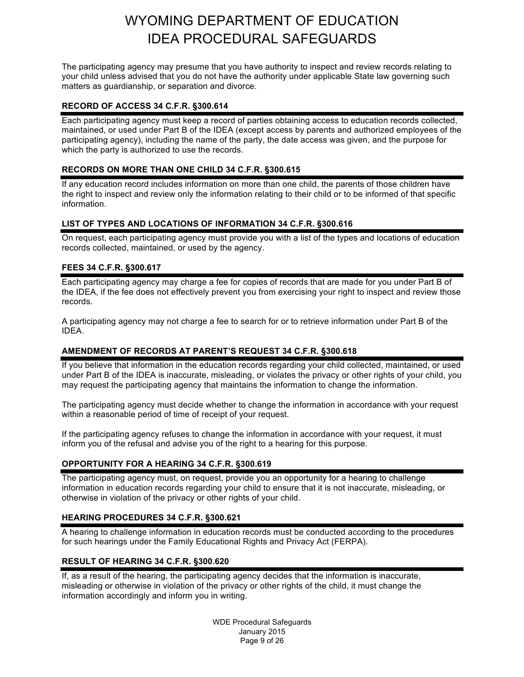The participating agency may presume that you have authority to inspect and review records relating to your child unless advised that you do not have the authority under applicable State law governing such matters as guardianship, or separation and divorce.

#### **RECORD OF ACCESS 34 C.F.R. §300.614**

Each participating agency must keep a record of parties obtaining access to education records collected, maintained, or used under Part B of the IDEA (except access by parents and authorized employees of the participating agency), including the name of the party, the date access was given, and the purpose for which the party is authorized to use the records.

#### **RECORDS ON MORE THAN ONE CHILD 34 C.F.R. §300.615**

If any education record includes information on more than one child, the parents of those children have the right to inspect and review only the information relating to their child or to be informed of that specific information.

#### **LIST OF TYPES AND LOCATIONS OF INFORMATION 34 C.F.R. §300.616**

On request, each participating agency must provide you with a list of the types and locations of education records collected, maintained, or used by the agency.

### **FEES 34 C.F.R. §300.617**

Each participating agency may charge a fee for copies of records that are made for you under Part B of the IDEA, if the fee does not effectively prevent you from exercising your right to inspect and review those records.

A participating agency may not charge a fee to search for or to retrieve information under Part B of the IDEA.

#### **AMENDMENT OF RECORDS AT PARENT'S REQUEST 34 C.F.R. §300.618**

If you believe that information in the education records regarding your child collected, maintained, or used under Part B of the IDEA is inaccurate, misleading, or violates the privacy or other rights of your child, you may request the participating agency that maintains the information to change the information.

The participating agency must decide whether to change the information in accordance with your request within a reasonable period of time of receipt of your request.

If the participating agency refuses to change the information in accordance with your request, it must inform you of the refusal and advise you of the right to a hearing for this purpose.

#### **OPPORTUNITY FOR A HEARING 34 C.F.R. §300.619**

The participating agency must, on request, provide you an opportunity for a hearing to challenge information in education records regarding your child to ensure that it is not inaccurate, misleading, or otherwise in violation of the privacy or other rights of your child.

#### **HEARING PROCEDURES 34 C.F.R. §300.621**

A hearing to challenge information in education records must be conducted according to the procedures for such hearings under the Family Educational Rights and Privacy Act (FERPA).

#### **RESULT OF HEARING 34 C.F.R. §300.620**

If, as a result of the hearing, the participating agency decides that the information is inaccurate, misleading or otherwise in violation of the privacy or other rights of the child, it must change the information accordingly and inform you in writing.

> WDE Procedural Safeguards January 2015 Page 9 of 26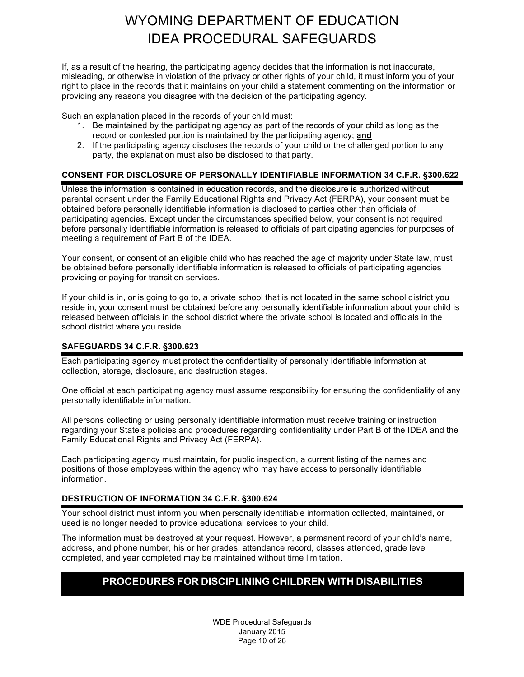If, as a result of the hearing, the participating agency decides that the information is not inaccurate, misleading, or otherwise in violation of the privacy or other rights of your child, it must inform you of your right to place in the records that it maintains on your child a statement commenting on the information or providing any reasons you disagree with the decision of the participating agency.

Such an explanation placed in the records of your child must:

- 1. Be maintained by the participating agency as part of the records of your child as long as the record or contested portion is maintained by the participating agency; **and**
- 2. If the participating agency discloses the records of your child or the challenged portion to any party, the explanation must also be disclosed to that party.

#### **CONSENT FOR DISCLOSURE OF PERSONALLY IDENTIFIABLE INFORMATION 34 C.F.R. §300.622**

Unless the information is contained in education records, and the disclosure is authorized without parental consent under the Family Educational Rights and Privacy Act (FERPA), your consent must be obtained before personally identifiable information is disclosed to parties other than officials of participating agencies. Except under the circumstances specified below, your consent is not required before personally identifiable information is released to officials of participating agencies for purposes of meeting a requirement of Part B of the IDEA.

Your consent, or consent of an eligible child who has reached the age of majority under State law, must be obtained before personally identifiable information is released to officials of participating agencies providing or paying for transition services.

If your child is in, or is going to go to, a private school that is not located in the same school district you reside in, your consent must be obtained before any personally identifiable information about your child is released between officials in the school district where the private school is located and officials in the school district where you reside.

#### **SAFEGUARDS 34 C.F.R. §300.623**

Each participating agency must protect the confidentiality of personally identifiable information at collection, storage, disclosure, and destruction stages.

One official at each participating agency must assume responsibility for ensuring the confidentiality of any personally identifiable information.

All persons collecting or using personally identifiable information must receive training or instruction regarding your State's policies and procedures regarding confidentiality under Part B of the IDEA and the Family Educational Rights and Privacy Act (FERPA).

Each participating agency must maintain, for public inspection, a current listing of the names and positions of those employees within the agency who may have access to personally identifiable information.

#### **DESTRUCTION OF INFORMATION 34 C.F.R. §300.624**

Your school district must inform you when personally identifiable information collected, maintained, or used is no longer needed to provide educational services to your child.

The information must be destroyed at your request. However, a permanent record of your child's name, address, and phone number, his or her grades, attendance record, classes attended, grade level completed, and year completed may be maintained without time limitation.

### **PROCEDURES FOR DISCIPLINING CHILDREN WITH DISABILITIES**

WDE Procedural Safeguards January 2015 Page 10 of 26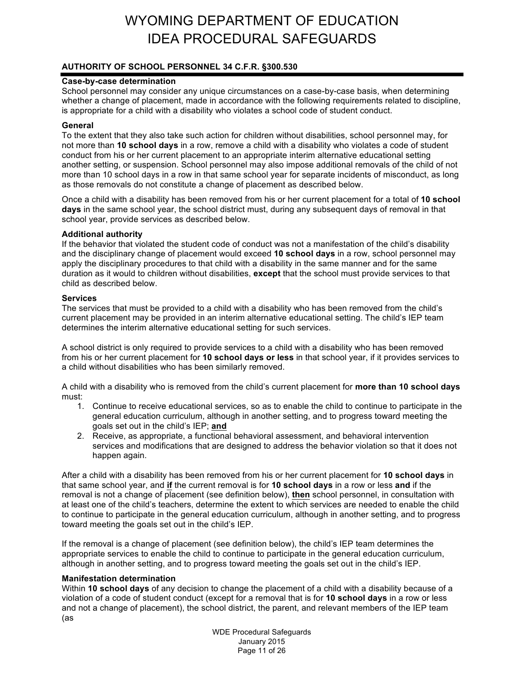### **AUTHORITY OF SCHOOL PERSONNEL 34 C.F.R. §300.530**

#### **Case-by-case determination**

School personnel may consider any unique circumstances on a case-by-case basis, when determining whether a change of placement, made in accordance with the following requirements related to discipline, is appropriate for a child with a disability who violates a school code of student conduct.

#### **General**

To the extent that they also take such action for children without disabilities, school personnel may, for not more than **10 school days** in a row, remove a child with a disability who violates a code of student conduct from his or her current placement to an appropriate interim alternative educational setting another setting, or suspension. School personnel may also impose additional removals of the child of not more than 10 school days in a row in that same school year for separate incidents of misconduct, as long as those removals do not constitute a change of placement as described below.

Once a child with a disability has been removed from his or her current placement for a total of **10 school days** in the same school year, the school district must, during any subsequent days of removal in that school year, provide services as described below.

#### **Additional authority**

If the behavior that violated the student code of conduct was not a manifestation of the child's disability and the disciplinary change of placement would exceed **10 school days** in a row, school personnel may apply the disciplinary procedures to that child with a disability in the same manner and for the same duration as it would to children without disabilities, **except** that the school must provide services to that child as described below.

#### **Services**

The services that must be provided to a child with a disability who has been removed from the child's current placement may be provided in an interim alternative educational setting. The child's IEP team determines the interim alternative educational setting for such services.

A school district is only required to provide services to a child with a disability who has been removed from his or her current placement for **10 school days or less** in that school year, if it provides services to a child without disabilities who has been similarly removed.

A child with a disability who is removed from the child's current placement for **more than 10 school days**  must:

- 1. Continue to receive educational services, so as to enable the child to continue to participate in the general education curriculum, although in another setting, and to progress toward meeting the goals set out in the child's IEP; **and**
- 2. Receive, as appropriate, a functional behavioral assessment, and behavioral intervention services and modifications that are designed to address the behavior violation so that it does not happen again.

After a child with a disability has been removed from his or her current placement for **10 school days** in that same school year, and **if** the current removal is for **10 school days** in a row or less **and** if the removal is not a change of placement (see definition below), **then** school personnel, in consultation with at least one of the child's teachers, determine the extent to which services are needed to enable the child to continue to participate in the general education curriculum, although in another setting, and to progress toward meeting the goals set out in the child's IEP.

If the removal is a change of placement (see definition below), the child's IEP team determines the appropriate services to enable the child to continue to participate in the general education curriculum, although in another setting, and to progress toward meeting the goals set out in the child's IEP.

#### **Manifestation determination**

Within **10 school days** of any decision to change the placement of a child with a disability because of a violation of a code of student conduct (except for a removal that is for **10 school days** in a row or less and not a change of placement), the school district, the parent, and relevant members of the IEP team (as

> WDE Procedural Safeguards January 2015 Page 11 of 26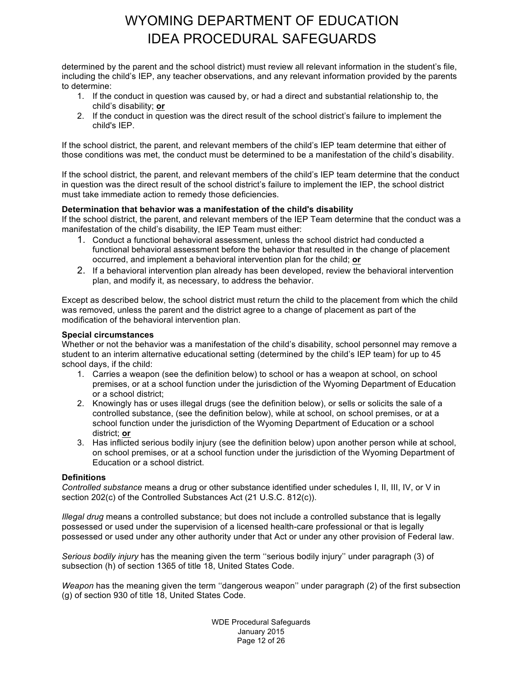determined by the parent and the school district) must review all relevant information in the student's file, including the child's IEP, any teacher observations, and any relevant information provided by the parents to determine:

- 1. If the conduct in question was caused by, or had a direct and substantial relationship to, the child's disability; **or**
- 2. If the conduct in question was the direct result of the school district's failure to implement the child's IEP.

If the school district, the parent, and relevant members of the child's IEP team determine that either of those conditions was met, the conduct must be determined to be a manifestation of the child's disability.

If the school district, the parent, and relevant members of the child's IEP team determine that the conduct in question was the direct result of the school district's failure to implement the IEP, the school district must take immediate action to remedy those deficiencies.

#### **Determination that behavior was a manifestation of the child's disability**

If the school district, the parent, and relevant members of the IEP Team determine that the conduct was a manifestation of the child's disability, the IEP Team must either:

- 1. Conduct a functional behavioral assessment, unless the school district had conducted a functional behavioral assessment before the behavior that resulted in the change of placement occurred, and implement a behavioral intervention plan for the child; **or**
- 2. If a behavioral intervention plan already has been developed, review the behavioral intervention plan, and modify it, as necessary, to address the behavior.

Except as described below, the school district must return the child to the placement from which the child was removed, unless the parent and the district agree to a change of placement as part of the modification of the behavioral intervention plan.

#### **Special circumstances**

Whether or not the behavior was a manifestation of the child's disability, school personnel may remove a student to an interim alternative educational setting (determined by the child's IEP team) for up to 45 school days, if the child:

- 1. Carries a weapon (see the definition below) to school or has a weapon at school, on school premises, or at a school function under the jurisdiction of the Wyoming Department of Education or a school district;
- 2. Knowingly has or uses illegal drugs (see the definition below), or sells or solicits the sale of a controlled substance, (see the definition below), while at school, on school premises, or at a school function under the jurisdiction of the Wyoming Department of Education or a school district; **or**
- 3. Has inflicted serious bodily injury (see the definition below) upon another person while at school, on school premises, or at a school function under the jurisdiction of the Wyoming Department of Education or a school district.

#### **Definitions**

*Controlled substance* means a drug or other substance identified under schedules I, II, III, IV, or V in section 202(c) of the Controlled Substances Act (21 U.S.C. 812(c)).

*Illegal drug* means a controlled substance; but does not include a controlled substance that is legally possessed or used under the supervision of a licensed health-care professional or that is legally possessed or used under any other authority under that Act or under any other provision of Federal law.

*Serious bodily injury* has the meaning given the term ''serious bodily injury'' under paragraph (3) of subsection (h) of section 1365 of title 18, United States Code.

*Weapon* has the meaning given the term ''dangerous weapon'' under paragraph (2) of the first subsection (g) of section 930 of title 18, United States Code.

> WDE Procedural Safeguards January 2015 Page 12 of 26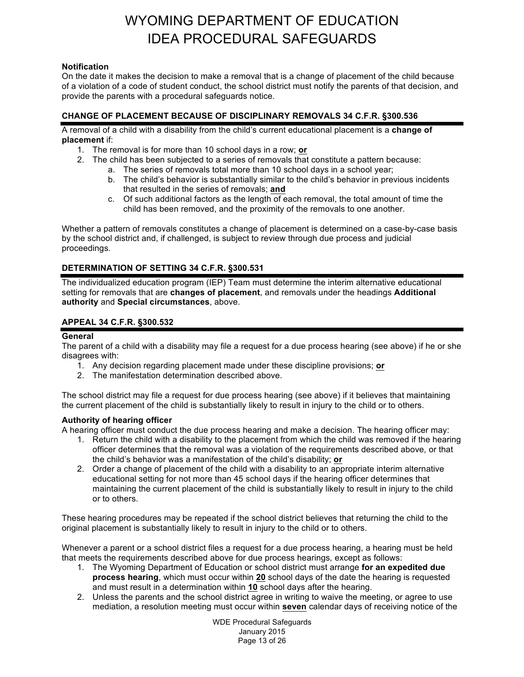#### **Notification**

On the date it makes the decision to make a removal that is a change of placement of the child because of a violation of a code of student conduct, the school district must notify the parents of that decision, and provide the parents with a procedural safeguards notice.

#### **CHANGE OF PLACEMENT BECAUSE OF DISCIPLINARY REMOVALS 34 C.F.R. §300.536**

A removal of a child with a disability from the child's current educational placement is a **change of placement** if:

- 1. The removal is for more than 10 school days in a row; **or**
- 2. The child has been subjected to a series of removals that constitute a pattern because:
	- a. The series of removals total more than 10 school days in a school year;
	- b. The child's behavior is substantially similar to the child's behavior in previous incidents that resulted in the series of removals; **and**
	- c. Of such additional factors as the length of each removal, the total amount of time the child has been removed, and the proximity of the removals to one another.

Whether a pattern of removals constitutes a change of placement is determined on a case-by-case basis by the school district and, if challenged, is subject to review through due process and judicial proceedings.

#### **DETERMINATION OF SETTING 34 C.F.R. §300.531**

The individualized education program (IEP) Team must determine the interim alternative educational setting for removals that are **changes of placement**, and removals under the headings **Additional authority** and **Special circumstances**, above.

#### **APPEAL 34 C.F.R. §300.532**

#### **General**

The parent of a child with a disability may file a request for a due process hearing (see above) if he or she disagrees with:

- 1. Any decision regarding placement made under these discipline provisions; **or**
- 2. The manifestation determination described above.

The school district may file a request for due process hearing (see above) if it believes that maintaining the current placement of the child is substantially likely to result in injury to the child or to others.

#### **Authority of hearing officer**

A hearing officer must conduct the due process hearing and make a decision. The hearing officer may:

- 1. Return the child with a disability to the placement from which the child was removed if the hearing officer determines that the removal was a violation of the requirements described above*,* or that the child's behavior was a manifestation of the child's disability; **or**
- 2. Order a change of placement of the child with a disability to an appropriate interim alternative educational setting for not more than 45 school days if the hearing officer determines that maintaining the current placement of the child is substantially likely to result in injury to the child or to others.

These hearing procedures may be repeated if the school district believes that returning the child to the original placement is substantially likely to result in injury to the child or to others.

Whenever a parent or a school district files a request for a due process hearing, a hearing must be held that meets the requirements described above for due process hearings*,* except as follows:

- 1. The Wyoming Department of Education or school district must arrange **for an expedited due process hearing**, which must occur within **20** school days of the date the hearing is requested and must result in a determination within **10** school days after the hearing.
- 2. Unless the parents and the school district agree in writing to waive the meeting, or agree to use mediation, a resolution meeting must occur within **seven** calendar days of receiving notice of the

WDE Procedural Safeguards January 2015 Page 13 of 26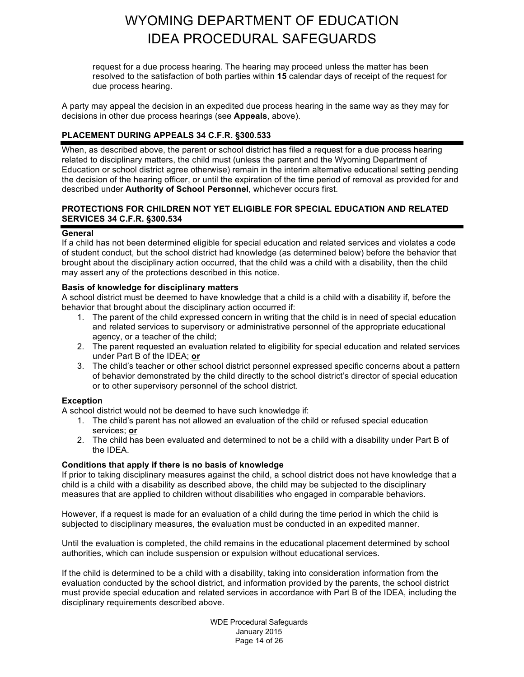request for a due process hearing. The hearing may proceed unless the matter has been resolved to the satisfaction of both parties within **15** calendar days of receipt of the request for due process hearing.

A party may appeal the decision in an expedited due process hearing in the same way as they may for decisions in other due process hearings (see **Appeals**, above).

#### **PLACEMENT DURING APPEALS 34 C.F.R. §300.533**

When, as described above, the parent or school district has filed a request for a due process hearing related to disciplinary matters, the child must (unless the parent and the Wyoming Department of Education or school district agree otherwise) remain in the interim alternative educational setting pending the decision of the hearing officer, or until the expiration of the time period of removal as provided for and described under **Authority of School Personnel**, whichever occurs first.

#### **PROTECTIONS FOR CHILDREN NOT YET ELIGIBLE FOR SPECIAL EDUCATION AND RELATED SERVICES 34 C.F.R. §300.534**

#### **General**

If a child has not been determined eligible for special education and related services and violates a code of student conduct, but the school district had knowledge (as determined below) before the behavior that brought about the disciplinary action occurred, that the child was a child with a disability, then the child may assert any of the protections described in this notice.

#### **Basis of knowledge for disciplinary matters**

A school district must be deemed to have knowledge that a child is a child with a disability if, before the behavior that brought about the disciplinary action occurred if:

- 1. The parent of the child expressed concern in writing that the child is in need of special education and related services to supervisory or administrative personnel of the appropriate educational agency, or a teacher of the child;
- 2. The parent requested an evaluation related to eligibility for special education and related services under Part B of the IDEA; **or**
- 3. The child's teacher or other school district personnel expressed specific concerns about a pattern of behavior demonstrated by the child directly to the school district's director of special education or to other supervisory personnel of the school district.

#### **Exception**

A school district would not be deemed to have such knowledge if:

- 1. The child's parent has not allowed an evaluation of the child or refused special education services; **or**
- 2. The child has been evaluated and determined to not be a child with a disability under Part B of the IDEA.

#### **Conditions that apply if there is no basis of knowledge**

If prior to taking disciplinary measures against the child, a school district does not have knowledge that a child is a child with a disability as described above, the child may be subjected to the disciplinary measures that are applied to children without disabilities who engaged in comparable behaviors.

However, if a request is made for an evaluation of a child during the time period in which the child is subjected to disciplinary measures, the evaluation must be conducted in an expedited manner.

Until the evaluation is completed, the child remains in the educational placement determined by school authorities, which can include suspension or expulsion without educational services.

If the child is determined to be a child with a disability, taking into consideration information from the evaluation conducted by the school district, and information provided by the parents, the school district must provide special education and related services in accordance with Part B of the IDEA, including the disciplinary requirements described above.

> WDE Procedural Safeguards January 2015 Page 14 of 26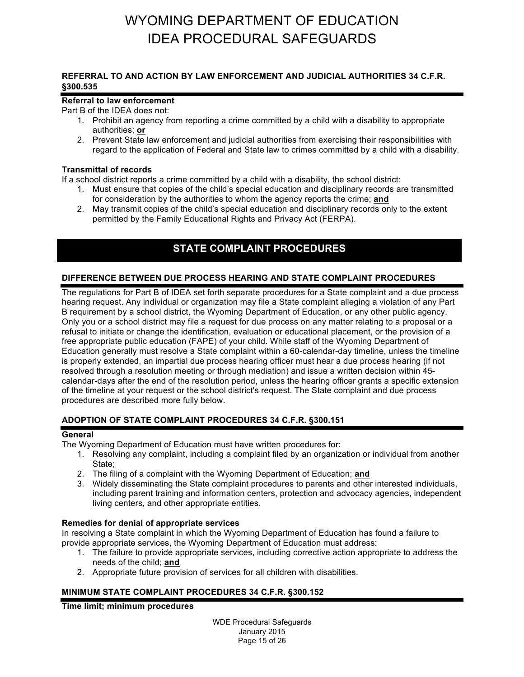#### **REFERRAL TO AND ACTION BY LAW ENFORCEMENT AND JUDICIAL AUTHORITIES 34 C.F.R. §300.535**

#### **Referral to law enforcement**

Part B of the IDEA does not:

- 1. Prohibit an agency from reporting a crime committed by a child with a disability to appropriate authorities; **or**
- 2. Prevent State law enforcement and judicial authorities from exercising their responsibilities with regard to the application of Federal and State law to crimes committed by a child with a disability.

#### **Transmittal of records**

If a school district reports a crime committed by a child with a disability, the school district:

- 1. Must ensure that copies of the child's special education and disciplinary records are transmitted for consideration by the authorities to whom the agency reports the crime; **and**
- 2. May transmit copies of the child's special education and disciplinary records only to the extent permitted by the Family Educational Rights and Privacy Act (FERPA).

### **STATE COMPLAINT PROCEDURES**

#### **DIFFERENCE BETWEEN DUE PROCESS HEARING AND STATE COMPLAINT PROCEDURES**

The regulations for Part B of IDEA set forth separate procedures for a State complaint and a due process hearing request. Any individual or organization may file a State complaint alleging a violation of any Part B requirement by a school district, the Wyoming Department of Education, or any other public agency. Only you or a school district may file a request for due process on any matter relating to a proposal or a refusal to initiate or change the identification, evaluation or educational placement, or the provision of a free appropriate public education (FAPE) of your child. While staff of the Wyoming Department of Education generally must resolve a State complaint within a 60-calendar-day timeline, unless the timeline is properly extended, an impartial due process hearing officer must hear a due process hearing (if not resolved through a resolution meeting or through mediation) and issue a written decision within 45 calendar-days after the end of the resolution period, unless the hearing officer grants a specific extension of the timeline at your request or the school district's request. The State complaint and due process procedures are described more fully below.

#### **ADOPTION OF STATE COMPLAINT PROCEDURES 34 C.F.R. §300.151**

#### **General**

The Wyoming Department of Education must have written procedures for:

- 1. Resolving any complaint, including a complaint filed by an organization or individual from another State;
- 2. The filing of a complaint with the Wyoming Department of Education; **and**
- 3. Widely disseminating the State complaint procedures to parents and other interested individuals, including parent training and information centers, protection and advocacy agencies, independent living centers, and other appropriate entities.

#### **Remedies for denial of appropriate services**

In resolving a State complaint in which the Wyoming Department of Education has found a failure to provide appropriate services, the Wyoming Department of Education must address:

- 1. The failure to provide appropriate services, including corrective action appropriate to address the needs of the child; **and**
- 2. Appropriate future provision of services for all children with disabilities.

#### **MINIMUM STATE COMPLAINT PROCEDURES 34 C.F.R. §300.152**

#### **Time limit; minimum procedures**

WDE Procedural Safeguards January 2015 Page 15 of 26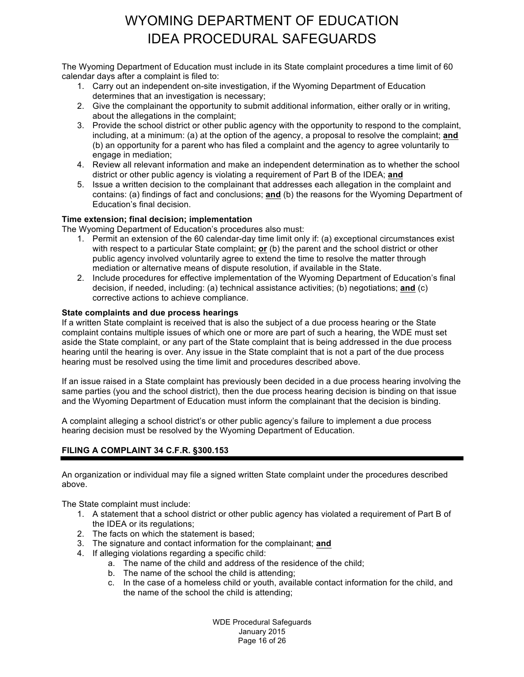The Wyoming Department of Education must include in its State complaint procedures a time limit of 60 calendar days after a complaint is filed to:

- 1. Carry out an independent on-site investigation, if the Wyoming Department of Education determines that an investigation is necessary;
- 2. Give the complainant the opportunity to submit additional information, either orally or in writing, about the allegations in the complaint;
- 3. Provide the school district or other public agency with the opportunity to respond to the complaint, including, at a minimum: (a) at the option of the agency, a proposal to resolve the complaint; **and** (b) an opportunity for a parent who has filed a complaint and the agency to agree voluntarily to engage in mediation;
- 4. Review all relevant information and make an independent determination as to whether the school district or other public agency is violating a requirement of Part B of the IDEA; **and**
- 5. Issue a written decision to the complainant that addresses each allegation in the complaint and contains: (a) findings of fact and conclusions; **and** (b) the reasons for the Wyoming Department of Education's final decision.

### **Time extension; final decision; implementation**

The Wyoming Department of Education's procedures also must:

- 1. Permit an extension of the 60 calendar-day time limit only if: (a) exceptional circumstances exist with respect to a particular State complaint; **or** (b) the parent and the school district or other public agency involved voluntarily agree to extend the time to resolve the matter through mediation or alternative means of dispute resolution, if available in the State.
- 2. Include procedures for effective implementation of the Wyoming Department of Education's final decision, if needed, including: (a) technical assistance activities; (b) negotiations; **and** (c) corrective actions to achieve compliance.

#### **State complaints and due process hearings**

If a written State complaint is received that is also the subject of a due process hearing or the State complaint contains multiple issues of which one or more are part of such a hearing, the WDE must set aside the State complaint, or any part of the State complaint that is being addressed in the due process hearing until the hearing is over. Any issue in the State complaint that is not a part of the due process hearing must be resolved using the time limit and procedures described above.

If an issue raised in a State complaint has previously been decided in a due process hearing involving the same parties (you and the school district), then the due process hearing decision is binding on that issue and the Wyoming Department of Education must inform the complainant that the decision is binding.

A complaint alleging a school district's or other public agency's failure to implement a due process hearing decision must be resolved by the Wyoming Department of Education.

#### **FILING A COMPLAINT 34 C.F.R. §300.153**

An organization or individual may file a signed written State complaint under the procedures described above.

The State complaint must include:

- 1. A statement that a school district or other public agency has violated a requirement of Part B of the IDEA or its regulations;
- 2. The facts on which the statement is based;
- 3. The signature and contact information for the complainant; **and**
- 4. If alleging violations regarding a specific child:
	- a. The name of the child and address of the residence of the child;
	- b. The name of the school the child is attending;
	- c. In the case of a homeless child or youth, available contact information for the child, and the name of the school the child is attending;

WDE Procedural Safeguards January 2015 Page 16 of 26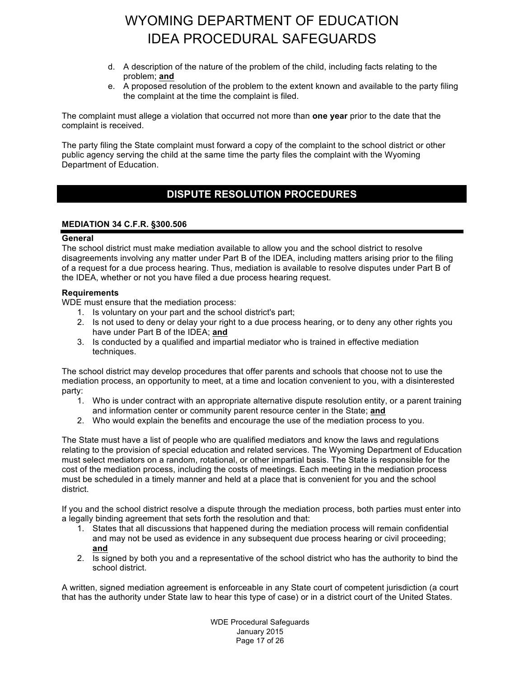- d. A description of the nature of the problem of the child, including facts relating to the problem; **and**
- e. A proposed resolution of the problem to the extent known and available to the party filing the complaint at the time the complaint is filed.

The complaint must allege a violation that occurred not more than **one year** prior to the date that the complaint is received.

The party filing the State complaint must forward a copy of the complaint to the school district or other public agency serving the child at the same time the party files the complaint with the Wyoming Department of Education.

### **DUE PROCESS HEARING PROCEDURES DISPUTE RESOLUTION PROCEDURES**

#### **MEDIATION 34 C.F.R. §300.506**

#### **General**

The school district must make mediation available to allow you and the school district to resolve disagreements involving any matter under Part B of the IDEA, including matters arising prior to the filing of a request for a due process hearing. Thus, mediation is available to resolve disputes under Part B of the IDEA, whether or not you have filed a due process hearing request.

#### **Requirements**

WDE must ensure that the mediation process:

- 1. Is voluntary on your part and the school district's part;
- 2. Is not used to deny or delay your right to a due process hearing, or to deny any other rights you have under Part B of the IDEA; **and**
- 3. Is conducted by a qualified and impartial mediator who is trained in effective mediation techniques.

The school district may develop procedures that offer parents and schools that choose not to use the mediation process, an opportunity to meet, at a time and location convenient to you, with a disinterested party:

- 1. Who is under contract with an appropriate alternative dispute resolution entity, or a parent training and information center or community parent resource center in the State; **and**
- 2. Who would explain the benefits and encourage the use of the mediation process to you.

The State must have a list of people who are qualified mediators and know the laws and regulations relating to the provision of special education and related services. The Wyoming Department of Education must select mediators on a random, rotational, or other impartial basis. The State is responsible for the cost of the mediation process, including the costs of meetings. Each meeting in the mediation process must be scheduled in a timely manner and held at a place that is convenient for you and the school district.

If you and the school district resolve a dispute through the mediation process, both parties must enter into a legally binding agreement that sets forth the resolution and that:

- 1. States that all discussions that happened during the mediation process will remain confidential and may not be used as evidence in any subsequent due process hearing or civil proceeding; **and**
- 2. Is signed by both you and a representative of the school district who has the authority to bind the school district.

A written, signed mediation agreement is enforceable in any State court of competent jurisdiction (a court that has the authority under State law to hear this type of case) or in a district court of the United States.

> WDE Procedural Safeguards January 2015 Page 17 of 26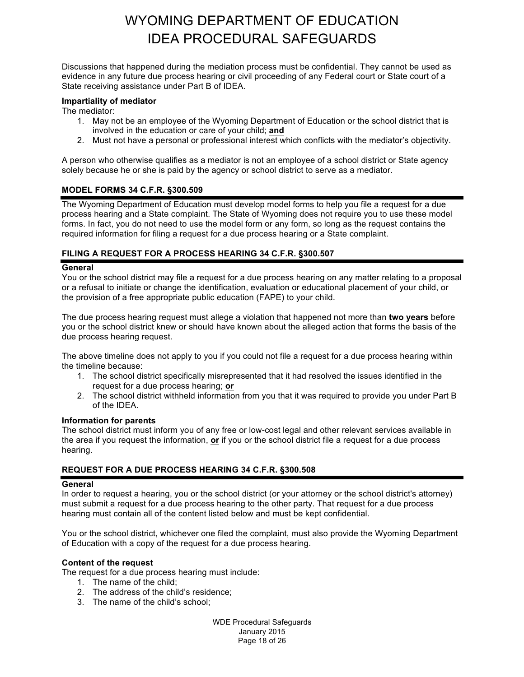Discussions that happened during the mediation process must be confidential. They cannot be used as evidence in any future due process hearing or civil proceeding of any Federal court or State court of a State receiving assistance under Part B of IDEA.

#### **Impartiality of mediator**

The mediator:

- 1. May not be an employee of the Wyoming Department of Education or the school district that is involved in the education or care of your child; **and**
- 2. Must not have a personal or professional interest which conflicts with the mediator's objectivity.

A person who otherwise qualifies as a mediator is not an employee of a school district or State agency solely because he or she is paid by the agency or school district to serve as a mediator.

#### **MODEL FORMS 34 C.F.R. §300.509**

The Wyoming Department of Education must develop model forms to help you file a request for a due process hearing and a State complaint. The State of Wyoming does not require you to use these model forms. In fact, you do not need to use the model form or any form, so long as the request contains the required information for filing a request for a due process hearing or a State complaint.

#### **FILING A REQUEST FOR A PROCESS HEARING 34 C.F.R. §300.507**

#### **General**

You or the school district may file a request for a due process hearing on any matter relating to a proposal or a refusal to initiate or change the identification, evaluation or educational placement of your child, or the provision of a free appropriate public education (FAPE) to your child.

The due process hearing request must allege a violation that happened not more than **two years** before you or the school district knew or should have known about the alleged action that forms the basis of the due process hearing request.

The above timeline does not apply to you if you could not file a request for a due process hearing within the timeline because:

- 1. The school district specifically misrepresented that it had resolved the issues identified in the request for a due process hearing; **or**
- 2. The school district withheld information from you that it was required to provide you under Part B of the IDEA.

#### **Information for parents**

The school district must inform you of any free or low-cost legal and other relevant services available in the area if you request the information, **or** if you or the school district file a request for a due process hearing.

#### **REQUEST FOR A DUE PROCESS HEARING 34 C.F.R. §300.508**

#### **General**

In order to request a hearing, you or the school district (or your attorney or the school district's attorney) must submit a request for a due process hearing to the other party. That request for a due process hearing must contain all of the content listed below and must be kept confidential.

You or the school district, whichever one filed the complaint, must also provide the Wyoming Department of Education with a copy of the request for a due process hearing.

#### **Content of the request**

The request for a due process hearing must include:

- 1. The name of the child;
- 2. The address of the child's residence;
- 3. The name of the child's school;

WDE Procedural Safeguards January 2015 Page 18 of 26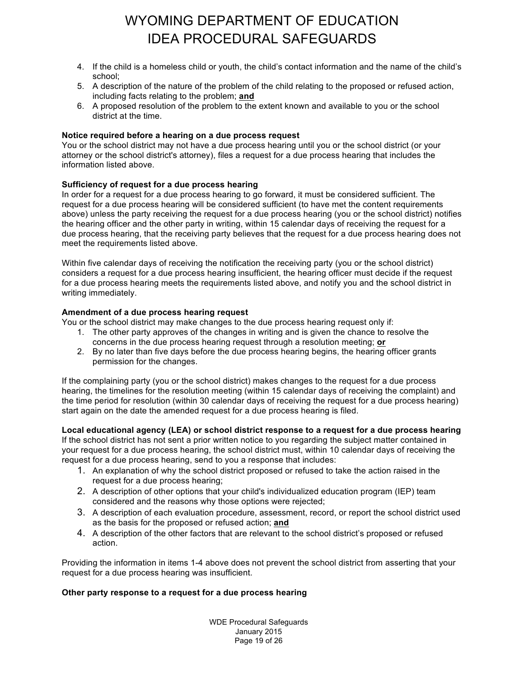- 4. If the child is a homeless child or youth, the child's contact information and the name of the child's school;
- 5. A description of the nature of the problem of the child relating to the proposed or refused action, including facts relating to the problem; **and**
- 6. A proposed resolution of the problem to the extent known and available to you or the school district at the time.

#### **Notice required before a hearing on a due process request**

You or the school district may not have a due process hearing until you or the school district (or your attorney or the school district's attorney), files a request for a due process hearing that includes the information listed above.

#### **Sufficiency of request for a due process hearing**

In order for a request for a due process hearing to go forward, it must be considered sufficient. The request for a due process hearing will be considered sufficient (to have met the content requirements above) unless the party receiving the request for a due process hearing (you or the school district) notifies the hearing officer and the other party in writing, within 15 calendar days of receiving the request for a due process hearing, that the receiving party believes that the request for a due process hearing does not meet the requirements listed above.

Within five calendar days of receiving the notification the receiving party (you or the school district) considers a request for a due process hearing insufficient, the hearing officer must decide if the request for a due process hearing meets the requirements listed above, and notify you and the school district in writing immediately.

#### **Amendment of a due process hearing request**

You or the school district may make changes to the due process hearing request only if:

- 1. The other party approves of the changes in writing and is given the chance to resolve the concerns in the due process hearing request through a resolution meeting; **or**
- 2. By no later than five days before the due process hearing begins, the hearing officer grants permission for the changes.

If the complaining party (you or the school district) makes changes to the request for a due process hearing, the timelines for the resolution meeting (within 15 calendar days of receiving the complaint) and the time period for resolution (within 30 calendar days of receiving the request for a due process hearing) start again on the date the amended request for a due process hearing is filed.

#### **Local educational agency (LEA) or school district response to a request for a due process hearing**

If the school district has not sent a prior written notice to you regarding the subject matter contained in your request for a due process hearing, the school district must, within 10 calendar days of receiving the request for a due process hearing, send to you a response that includes:

- 1. An explanation of why the school district proposed or refused to take the action raised in the request for a due process hearing;
- 2. A description of other options that your child's individualized education program (IEP) team considered and the reasons why those options were rejected;
- 3. A description of each evaluation procedure, assessment, record, or report the school district used as the basis for the proposed or refused action; **and**
- 4. A description of the other factors that are relevant to the school district's proposed or refused action.

Providing the information in items 1-4 above does not prevent the school district from asserting that your request for a due process hearing was insufficient.

#### **Other party response to a request for a due process hearing**

WDE Procedural Safeguards January 2015 Page 19 of 26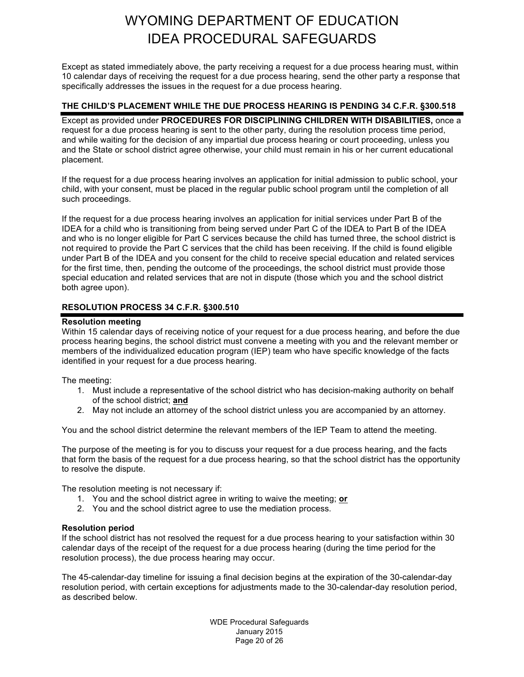Except as stated immediately above, the party receiving a request for a due process hearing must, within 10 calendar days of receiving the request for a due process hearing, send the other party a response that specifically addresses the issues in the request for a due process hearing.

#### **THE CHILD'S PLACEMENT WHILE THE DUE PROCESS HEARING IS PENDING 34 C.F.R. §300.518**

Except as provided under **PROCEDURES FOR DISCIPLINING CHILDREN WITH DISABILITIES,** once a request for a due process hearing is sent to the other party, during the resolution process time period, and while waiting for the decision of any impartial due process hearing or court proceeding, unless you and the State or school district agree otherwise, your child must remain in his or her current educational placement.

If the request for a due process hearing involves an application for initial admission to public school, your child, with your consent, must be placed in the regular public school program until the completion of all such proceedings.

If the request for a due process hearing involves an application for initial services under Part B of the IDEA for a child who is transitioning from being served under Part C of the IDEA to Part B of the IDEA and who is no longer eligible for Part C services because the child has turned three, the school district is not required to provide the Part C services that the child has been receiving. If the child is found eligible under Part B of the IDEA and you consent for the child to receive special education and related services for the first time, then, pending the outcome of the proceedings, the school district must provide those special education and related services that are not in dispute (those which you and the school district both agree upon).

#### **RESOLUTION PROCESS 34 C.F.R. §300.510**

#### **Resolution meeting**

Within 15 calendar days of receiving notice of your request for a due process hearing, and before the due process hearing begins, the school district must convene a meeting with you and the relevant member or members of the individualized education program (IEP) team who have specific knowledge of the facts identified in your request for a due process hearing.

The meeting:

- 1. Must include a representative of the school district who has decision-making authority on behalf of the school district; **and**
- 2. May not include an attorney of the school district unless you are accompanied by an attorney.

You and the school district determine the relevant members of the IEP Team to attend the meeting.

The purpose of the meeting is for you to discuss your request for a due process hearing, and the facts that form the basis of the request for a due process hearing, so that the school district has the opportunity to resolve the dispute.

The resolution meeting is not necessary if:

- 1. You and the school district agree in writing to waive the meeting; **or**
- 2. You and the school district agree to use the mediation process.

#### **Resolution period**

If the school district has not resolved the request for a due process hearing to your satisfaction within 30 calendar days of the receipt of the request for a due process hearing (during the time period for the resolution process), the due process hearing may occur.

The 45-calendar-day timeline for issuing a final decision begins at the expiration of the 30-calendar-day resolution period, with certain exceptions for adjustments made to the 30-calendar-day resolution period, as described below.

> WDE Procedural Safeguards January 2015 Page 20 of 26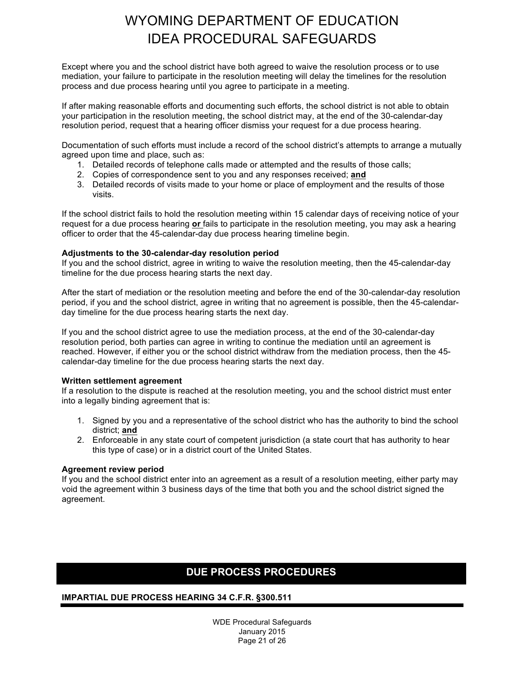Except where you and the school district have both agreed to waive the resolution process or to use mediation, your failure to participate in the resolution meeting will delay the timelines for the resolution process and due process hearing until you agree to participate in a meeting.

If after making reasonable efforts and documenting such efforts, the school district is not able to obtain your participation in the resolution meeting, the school district may, at the end of the 30-calendar-day resolution period, request that a hearing officer dismiss your request for a due process hearing.

Documentation of such efforts must include a record of the school district's attempts to arrange a mutually agreed upon time and place, such as:

- 1. Detailed records of telephone calls made or attempted and the results of those calls;
- 2. Copies of correspondence sent to you and any responses received; **and**
- 3. Detailed records of visits made to your home or place of employment and the results of those visits.

If the school district fails to hold the resolution meeting within 15 calendar days of receiving notice of your request for a due process hearing **or** fails to participate in the resolution meeting, you may ask a hearing officer to order that the 45-calendar-day due process hearing timeline begin.

#### **Adjustments to the 30-calendar-day resolution period**

If you and the school district, agree in writing to waive the resolution meeting, then the 45-calendar-day timeline for the due process hearing starts the next day.

After the start of mediation or the resolution meeting and before the end of the 30-calendar-day resolution period, if you and the school district, agree in writing that no agreement is possible, then the 45-calendarday timeline for the due process hearing starts the next day.

If you and the school district agree to use the mediation process, at the end of the 30-calendar-day resolution period, both parties can agree in writing to continue the mediation until an agreement is reached. However, if either you or the school district withdraw from the mediation process, then the 45 calendar-day timeline for the due process hearing starts the next day.

#### **Written settlement agreement**

If a resolution to the dispute is reached at the resolution meeting, you and the school district must enter into a legally binding agreement that is:

- 1. Signed by you and a representative of the school district who has the authority to bind the school district; **and**
- 2. Enforceable in any state court of competent jurisdiction (a state court that has authority to hear this type of case) or in a district court of the United States.

#### **Agreement review period**

If you and the school district enter into an agreement as a result of a resolution meeting, either party may void the agreement within 3 business days of the time that both you and the school district signed the agreement.

### **DUE PROCESS PROCEDURES**

#### **IMPARTIAL DUE PROCESS HEARING 34 C.F.R. §300.511**

WDE Procedural Safeguards January 2015 Page 21 of 26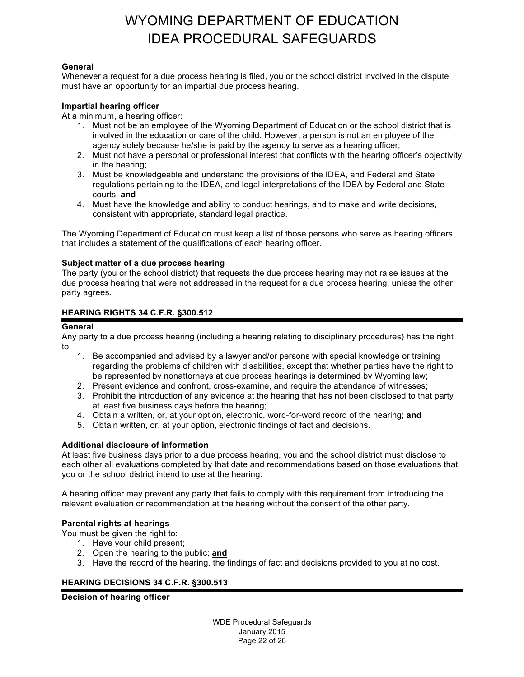#### **General**

Whenever a request for a due process hearing is filed, you or the school district involved in the dispute must have an opportunity for an impartial due process hearing.

#### **Impartial hearing officer**

At a minimum, a hearing officer:

- 1. Must not be an employee of the Wyoming Department of Education or the school district that is involved in the education or care of the child. However, a person is not an employee of the agency solely because he/she is paid by the agency to serve as a hearing officer;
- 2. Must not have a personal or professional interest that conflicts with the hearing officer's objectivity in the hearing;
- 3. Must be knowledgeable and understand the provisions of the IDEA, and Federal and State regulations pertaining to the IDEA, and legal interpretations of the IDEA by Federal and State courts; **and**
- 4. Must have the knowledge and ability to conduct hearings, and to make and write decisions, consistent with appropriate, standard legal practice.

The Wyoming Department of Education must keep a list of those persons who serve as hearing officers that includes a statement of the qualifications of each hearing officer.

#### **Subject matter of a due process hearing**

The party (you or the school district) that requests the due process hearing may not raise issues at the due process hearing that were not addressed in the request for a due process hearing, unless the other party agrees.

#### **HEARING RIGHTS 34 C.F.R. §300.512**

#### **General**

Any party to a due process hearing (including a hearing relating to disciplinary procedures) has the right to:

- 1. Be accompanied and advised by a lawyer and/or persons with special knowledge or training regarding the problems of children with disabilities, except that whether parties have the right to be represented by nonattorneys at due process hearings is determined by Wyoming law;
- 2. Present evidence and confront, cross-examine, and require the attendance of witnesses;
- 3. Prohibit the introduction of any evidence at the hearing that has not been disclosed to that party at least five business days before the hearing;
- 4. Obtain a written, or, at your option, electronic, word-for-word record of the hearing; **and**
- 5. Obtain written, or, at your option, electronic findings of fact and decisions.

#### **Additional disclosure of information**

At least five business days prior to a due process hearing, you and the school district must disclose to each other all evaluations completed by that date and recommendations based on those evaluations that you or the school district intend to use at the hearing.

A hearing officer may prevent any party that fails to comply with this requirement from introducing the relevant evaluation or recommendation at the hearing without the consent of the other party.

#### **Parental rights at hearings**

You must be given the right to:

- 1. Have your child present;
- 2. Open the hearing to the public; **and**
- 3. Have the record of the hearing, the findings of fact and decisions provided to you at no cost.

#### **HEARING DECISIONS 34 C.F.R. §300.513**

**Decision of hearing officer** 

WDE Procedural Safeguards January 2015 Page 22 of 26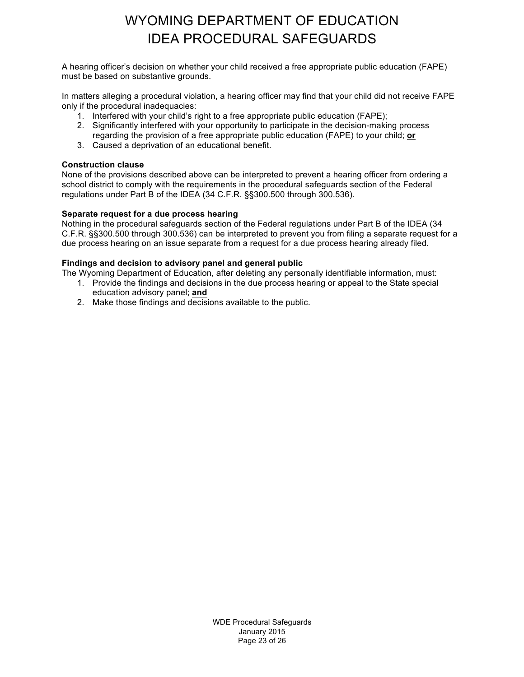A hearing officer's decision on whether your child received a free appropriate public education (FAPE) must be based on substantive grounds.

In matters alleging a procedural violation, a hearing officer may find that your child did not receive FAPE only if the procedural inadequacies:

- 1. Interfered with your child's right to a free appropriate public education (FAPE);
- 2. Significantly interfered with your opportunity to participate in the decision-making process regarding the provision of a free appropriate public education (FAPE) to your child; **or**
- 3. Caused a deprivation of an educational benefit.

#### **Construction clause**

None of the provisions described above can be interpreted to prevent a hearing officer from ordering a school district to comply with the requirements in the procedural safeguards section of the Federal regulations under Part B of the IDEA (34 C.F.R. §§300.500 through 300.536).

#### **Separate request for a due process hearing**

Nothing in the procedural safeguards section of the Federal regulations under Part B of the IDEA (34 C.F.R. §§300.500 through 300.536) can be interpreted to prevent you from filing a separate request for a due process hearing on an issue separate from a request for a due process hearing already filed.

#### **Findings and decision to advisory panel and general public**

The Wyoming Department of Education, after deleting any personally identifiable information, must:

- 1. Provide the findings and decisions in the due process hearing or appeal to the State special education advisory panel; **and**
- 2. Make those findings and decisions available to the public.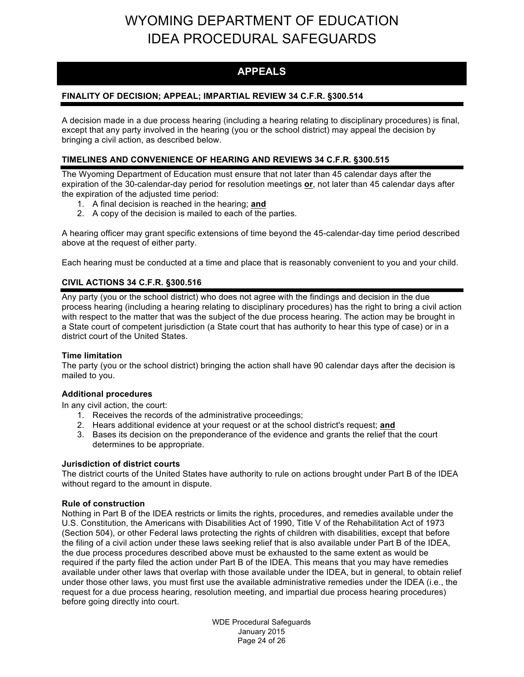### **APPEALS**

#### **FINALITY OF DECISION; APPEAL; IMPARTIAL REVIEW 34 C.F.R. §300.514**

A decision made in a due process hearing (including a hearing relating to disciplinary procedures) is final, except that any party involved in the hearing (you or the school district) may appeal the decision by bringing a civil action, as described below.

#### **TIMELINES AND CONVENIENCE OF HEARING AND REVIEWS 34 C.F.R. §300.515**

The Wyoming Department of Education must ensure that not later than 45 calendar days after the expiration of the 30-calendar-day period for resolution meetings **or**, not later than 45 calendar days after the expiration of the adjusted time period:

- 1. A final decision is reached in the hearing; **and**
- 2. A copy of the decision is mailed to each of the parties.

A hearing officer may grant specific extensions of time beyond the 45-calendar-day time period described above at the request of either party.

Each hearing must be conducted at a time and place that is reasonably convenient to you and your child.

#### **CIVIL ACTIONS 34 C.F.R. §300.516**

Any party (you or the school district) who does not agree with the findings and decision in the due process hearing (including a hearing relating to disciplinary procedures) has the right to bring a civil action with respect to the matter that was the subject of the due process hearing. The action may be brought in a State court of competent jurisdiction (a State court that has authority to hear this type of case) or in a district court of the United States.

#### **Time limitation**

The party (you or the school district) bringing the action shall have 90 calendar days after the decision is mailed to you.

#### **Additional procedures**

In any civil action, the court:

- 1. Receives the records of the administrative proceedings;
- 2. Hears additional evidence at your request or at the school district's request; **and**
- 3. Bases its decision on the preponderance of the evidence and grants the relief that the court determines to be appropriate.

#### **Jurisdiction of district courts**

The district courts of the United States have authority to rule on actions brought under Part B of the IDEA without regard to the amount in dispute.

#### **Rule of construction**

Nothing in Part B of the IDEA restricts or limits the rights, procedures, and remedies available under the U.S. Constitution, the Americans with Disabilities Act of 1990, Title V of the Rehabilitation Act of 1973 (Section 504), or other Federal laws protecting the rights of children with disabilities, except that before the filing of a civil action under these laws seeking relief that is also available under Part B of the IDEA, the due process procedures described above must be exhausted to the same extent as would be required if the party filed the action under Part B of the IDEA. This means that you may have remedies available under other laws that overlap with those available under the IDEA, but in general, to obtain relief under those other laws, you must first use the available administrative remedies under the IDEA (i.e., the request for a due process hearing, resolution meeting, and impartial due process hearing procedures) before going directly into court.

> WDE Procedural Safeguards January 2015 Page 24 of 26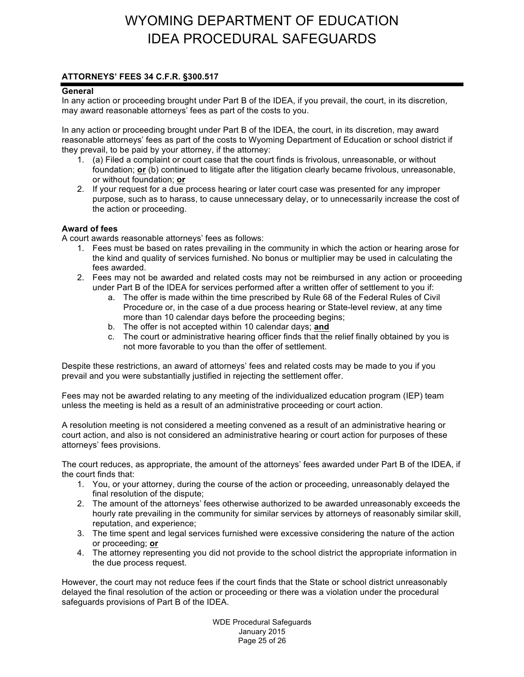#### **ATTORNEYS' FEES 34 C.F.R. §300.517**

#### **General**

In any action or proceeding brought under Part B of the IDEA, if you prevail, the court, in its discretion, may award reasonable attorneys' fees as part of the costs to you.

In any action or proceeding brought under Part B of the IDEA, the court, in its discretion, may award reasonable attorneys' fees as part of the costs to Wyoming Department of Education or school district if they prevail, to be paid by your attorney, if the attorney:

- 1. (a) Filed a complaint or court case that the court finds is frivolous, unreasonable, or without foundation; **or** (b) continued to litigate after the litigation clearly became frivolous, unreasonable, or without foundation; **or**
- 2. If your request for a due process hearing or later court case was presented for any improper purpose, such as to harass, to cause unnecessary delay, or to unnecessarily increase the cost of the action or proceeding.

#### **Award of fees**

A court awards reasonable attorneys' fees as follows:

- 1. Fees must be based on rates prevailing in the community in which the action or hearing arose for the kind and quality of services furnished. No bonus or multiplier may be used in calculating the fees awarded.
- 2. Fees may not be awarded and related costs may not be reimbursed in any action or proceeding under Part B of the IDEA for services performed after a written offer of settlement to you if:
	- a. The offer is made within the time prescribed by Rule 68 of the Federal Rules of Civil Procedure or, in the case of a due process hearing or State-level review, at any time more than 10 calendar days before the proceeding begins;
	- b. The offer is not accepted within 10 calendar days; **and**
	- c. The court or administrative hearing officer finds that the relief finally obtained by you is not more favorable to you than the offer of settlement.

Despite these restrictions, an award of attorneys' fees and related costs may be made to you if you prevail and you were substantially justified in rejecting the settlement offer.

Fees may not be awarded relating to any meeting of the individualized education program (IEP) team unless the meeting is held as a result of an administrative proceeding or court action.

A resolution meeting is not considered a meeting convened as a result of an administrative hearing or court action, and also is not considered an administrative hearing or court action for purposes of these attorneys' fees provisions.

The court reduces, as appropriate, the amount of the attorneys' fees awarded under Part B of the IDEA, if the court finds that:

- 1. You, or your attorney, during the course of the action or proceeding, unreasonably delayed the final resolution of the dispute;
- 2. The amount of the attorneys' fees otherwise authorized to be awarded unreasonably exceeds the hourly rate prevailing in the community for similar services by attorneys of reasonably similar skill, reputation, and experience;
- 3. The time spent and legal services furnished were excessive considering the nature of the action or proceeding; **or**
- 4. The attorney representing you did not provide to the school district the appropriate information in the due process request.

However, the court may not reduce fees if the court finds that the State or school district unreasonably delayed the final resolution of the action or proceeding or there was a violation under the procedural safeguards provisions of Part B of the IDEA.

> WDE Procedural Safeguards January 2015 Page 25 of 26